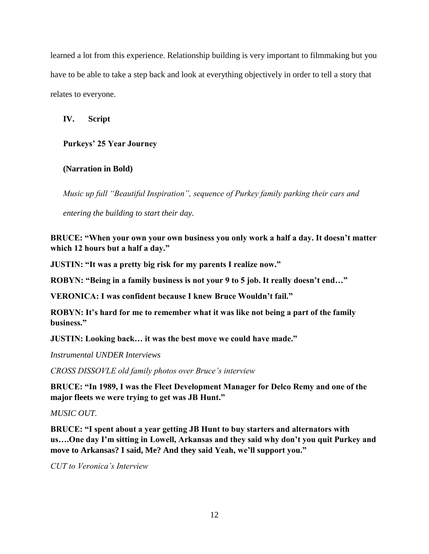learned a lot from this experience. Relationship building is very important to filmmaking but you have to be able to take a step back and look at everything objectively in order to tell a story that relates to everyone.

**IV. Script**

**Purkeys' 25 Year Journey**

## **(Narration in Bold)**

*Music up full "Beautiful Inspiration", sequence of Purkey family parking their cars and* 

*entering the building to start their day.* 

**BRUCE: "When your own your own business you only work a half a day. It doesn't matter which 12 hours but a half a day."**

**JUSTIN: "It was a pretty big risk for my parents I realize now."**

**ROBYN: "Being in a family business is not your 9 to 5 job. It really doesn't end…"**

**VERONICA: I was confident because I knew Bruce Wouldn't fail."**

**ROBYN: It's hard for me to remember what it was like not being a part of the family business."**

**JUSTIN: Looking back… it was the best move we could have made."**

*Instrumental UNDER Interviews*

*CROSS DISSOVLE old family photos over Bruce's interview*

**BRUCE: "In 1989, I was the Fleet Development Manager for Delco Remy and one of the major fleets we were trying to get was JB Hunt."**

*MUSIC OUT.*

**BRUCE: "I spent about a year getting JB Hunt to buy starters and alternators with us….One day I'm sitting in Lowell, Arkansas and they said why don't you quit Purkey and move to Arkansas? I said, Me? And they said Yeah, we'll support you."**

*CUT to Veronica's Interview*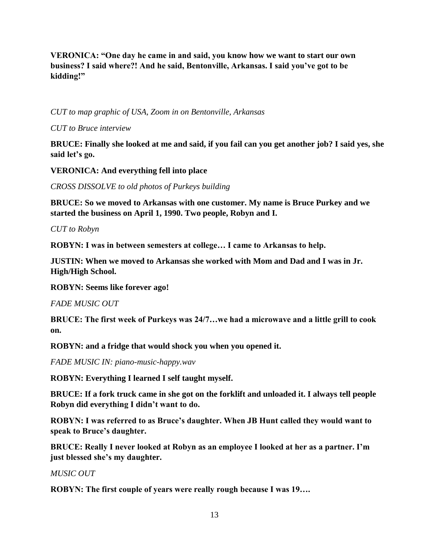**VERONICA: "One day he came in and said, you know how we want to start our own business? I said where?! And he said, Bentonville, Arkansas. I said you've got to be kidding!"**

*CUT to map graphic of USA, Zoom in on Bentonville, Arkansas*

*CUT to Bruce interview*

**BRUCE: Finally she looked at me and said, if you fail can you get another job? I said yes, she said let's go.**

**VERONICA: And everything fell into place**

*CROSS DISSOLVE to old photos of Purkeys building*

**BRUCE: So we moved to Arkansas with one customer. My name is Bruce Purkey and we started the business on April 1, 1990. Two people, Robyn and I.**

*CUT to Robyn*

**ROBYN: I was in between semesters at college… I came to Arkansas to help.** 

**JUSTIN: When we moved to Arkansas she worked with Mom and Dad and I was in Jr. High/High School.**

**ROBYN: Seems like forever ago!**

*FADE MUSIC OUT*

**BRUCE: The first week of Purkeys was 24/7…we had a microwave and a little grill to cook on.** 

**ROBYN: and a fridge that would shock you when you opened it.** 

*FADE MUSIC IN: piano-music-happy.wav*

**ROBYN: Everything I learned I self taught myself.**

**BRUCE: If a fork truck came in she got on the forklift and unloaded it. I always tell people Robyn did everything I didn't want to do.**

**ROBYN: I was referred to as Bruce's daughter. When JB Hunt called they would want to speak to Bruce's daughter.** 

**BRUCE: Really I never looked at Robyn as an employee I looked at her as a partner. I'm just blessed she's my daughter.** 

*MUSIC OUT* 

**ROBYN: The first couple of years were really rough because I was 19….**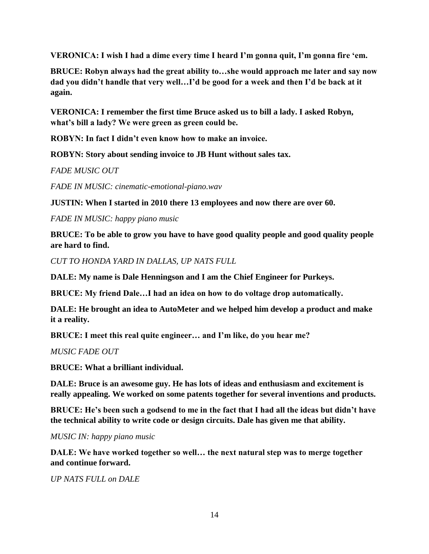**VERONICA: I wish I had a dime every time I heard I'm gonna quit, I'm gonna fire 'em.**

**BRUCE: Robyn always had the great ability to…she would approach me later and say now dad you didn't handle that very well…I'd be good for a week and then I'd be back at it again.** 

**VERONICA: I remember the first time Bruce asked us to bill a lady. I asked Robyn, what's bill a lady? We were green as green could be.**

**ROBYN: In fact I didn't even know how to make an invoice.** 

**ROBYN: Story about sending invoice to JB Hunt without sales tax.** 

*FADE MUSIC OUT*

*FADE IN MUSIC: cinematic-emotional-piano.wav*

**JUSTIN: When I started in 2010 there 13 employees and now there are over 60.** 

*FADE IN MUSIC: happy piano music*

**BRUCE: To be able to grow you have to have good quality people and good quality people are hard to find.** 

*CUT TO HONDA YARD IN DALLAS, UP NATS FULL*

**DALE: My name is Dale Henningson and I am the Chief Engineer for Purkeys.**

**BRUCE: My friend Dale…I had an idea on how to do voltage drop automatically.**

**DALE: He brought an idea to AutoMeter and we helped him develop a product and make it a reality.**

**BRUCE: I meet this real quite engineer… and I'm like, do you hear me?**

*MUSIC FADE OUT*

**BRUCE: What a brilliant individual.**

**DALE: Bruce is an awesome guy. He has lots of ideas and enthusiasm and excitement is really appealing. We worked on some patents together for several inventions and products.**

**BRUCE: He's been such a godsend to me in the fact that I had all the ideas but didn't have the technical ability to write code or design circuits. Dale has given me that ability.** 

*MUSIC IN: happy piano music*

**DALE: We have worked together so well… the next natural step was to merge together and continue forward.** 

*UP NATS FULL on DALE*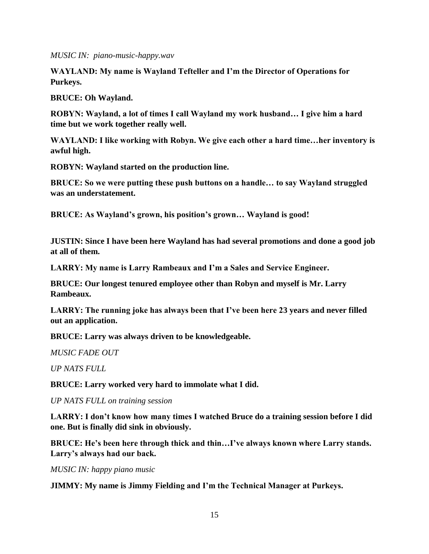*MUSIC IN: piano-music-happy.wav*

**WAYLAND: My name is Wayland Tefteller and I'm the Director of Operations for Purkeys.** 

**BRUCE: Oh Wayland.**

**ROBYN: Wayland, a lot of times I call Wayland my work husband… I give him a hard time but we work together really well.** 

**WAYLAND: I like working with Robyn. We give each other a hard time…her inventory is awful high.**

**ROBYN: Wayland started on the production line.**

**BRUCE: So we were putting these push buttons on a handle… to say Wayland struggled was an understatement.**

**BRUCE: As Wayland's grown, his position's grown… Wayland is good!**

**JUSTIN: Since I have been here Wayland has had several promotions and done a good job at all of them.**

**LARRY: My name is Larry Rambeaux and I'm a Sales and Service Engineer.**

**BRUCE: Our longest tenured employee other than Robyn and myself is Mr. Larry Rambeaux.**

**LARRY: The running joke has always been that I've been here 23 years and never filled out an application.** 

**BRUCE: Larry was always driven to be knowledgeable.**

*MUSIC FADE OUT*

*UP NATS FULL*

**BRUCE: Larry worked very hard to immolate what I did.** 

*UP NATS FULL on training session*

**LARRY: I don't know how many times I watched Bruce do a training session before I did one. But is finally did sink in obviously.**

**BRUCE: He's been here through thick and thin…I've always known where Larry stands. Larry's always had our back.** 

*MUSIC IN: happy piano music*

**JIMMY: My name is Jimmy Fielding and I'm the Technical Manager at Purkeys.**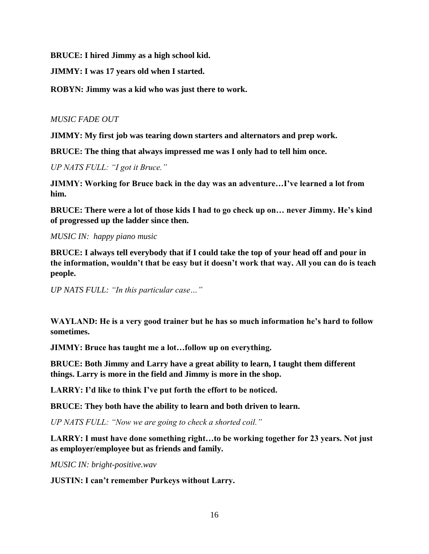**BRUCE: I hired Jimmy as a high school kid.** 

**JIMMY: I was 17 years old when I started.** 

**ROBYN: Jimmy was a kid who was just there to work.** 

*MUSIC FADE OUT*

**JIMMY: My first job was tearing down starters and alternators and prep work.**

**BRUCE: The thing that always impressed me was I only had to tell him once.** 

*UP NATS FULL: "I got it Bruce."*

**JIMMY: Working for Bruce back in the day was an adventure…I've learned a lot from him.**

**BRUCE: There were a lot of those kids I had to go check up on… never Jimmy. He's kind of progressed up the ladder since then.** 

*MUSIC IN: happy piano music*

**BRUCE: I always tell everybody that if I could take the top of your head off and pour in the information, wouldn't that be easy but it doesn't work that way. All you can do is teach people.**

*UP NATS FULL: "In this particular case…"*

**WAYLAND: He is a very good trainer but he has so much information he's hard to follow sometimes.**

**JIMMY: Bruce has taught me a lot…follow up on everything.** 

**BRUCE: Both Jimmy and Larry have a great ability to learn, I taught them different things. Larry is more in the field and Jimmy is more in the shop.**

**LARRY: I'd like to think I've put forth the effort to be noticed.** 

**BRUCE: They both have the ability to learn and both driven to learn.** 

*UP NATS FULL: "Now we are going to check a shorted coil."* 

**LARRY: I must have done something right…to be working together for 23 years. Not just as employer/employee but as friends and family.**

*MUSIC IN: bright-positive.wav*

**JUSTIN: I can't remember Purkeys without Larry.**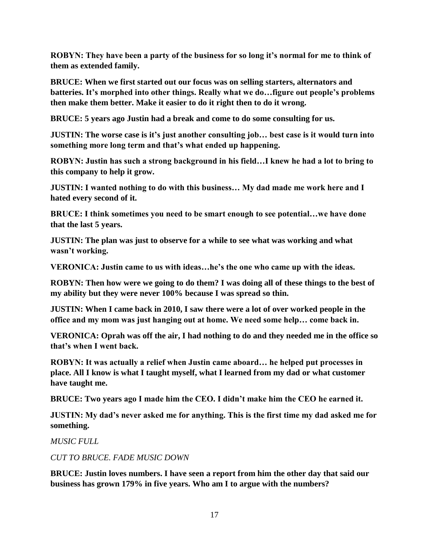**ROBYN: They have been a party of the business for so long it's normal for me to think of them as extended family.** 

**BRUCE: When we first started out our focus was on selling starters, alternators and batteries. It's morphed into other things. Really what we do…figure out people's problems then make them better. Make it easier to do it right then to do it wrong.**

**BRUCE: 5 years ago Justin had a break and come to do some consulting for us.** 

**JUSTIN: The worse case is it's just another consulting job… best case is it would turn into something more long term and that's what ended up happening.**

**ROBYN: Justin has such a strong background in his field…I knew he had a lot to bring to this company to help it grow.**

**JUSTIN: I wanted nothing to do with this business… My dad made me work here and I hated every second of it.**

**BRUCE: I think sometimes you need to be smart enough to see potential…we have done that the last 5 years.**

**JUSTIN: The plan was just to observe for a while to see what was working and what wasn't working.**

**VERONICA: Justin came to us with ideas…he's the one who came up with the ideas.** 

**ROBYN: Then how were we going to do them? I was doing all of these things to the best of my ability but they were never 100% because I was spread so thin.**

**JUSTIN: When I came back in 2010, I saw there were a lot of over worked people in the office and my mom was just hanging out at home. We need some help… come back in.**

**VERONICA: Oprah was off the air, I had nothing to do and they needed me in the office so that's when I went back.** 

**ROBYN: It was actually a relief when Justin came aboard… he helped put processes in place. All I know is what I taught myself, what I learned from my dad or what customer have taught me.**

**BRUCE: Two years ago I made him the CEO. I didn't make him the CEO he earned it.**

**JUSTIN: My dad's never asked me for anything. This is the first time my dad asked me for something.** 

*MUSIC FULL*

*CUT TO BRUCE. FADE MUSIC DOWN* 

**BRUCE: Justin loves numbers. I have seen a report from him the other day that said our business has grown 179% in five years. Who am I to argue with the numbers?**